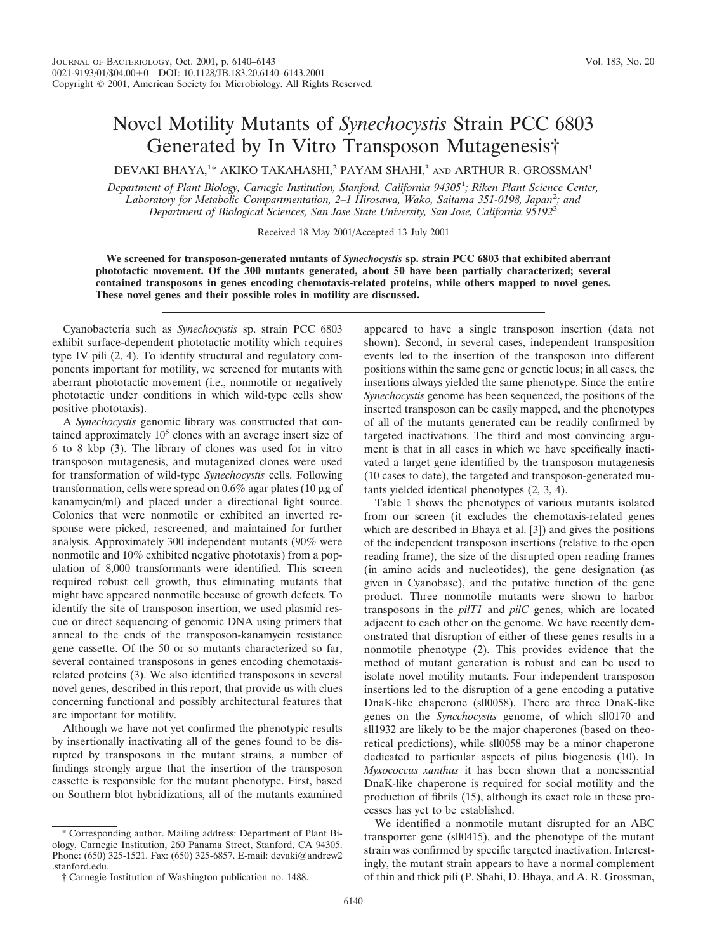## Novel Motility Mutants of *Synechocystis* Strain PCC 6803 Generated by In Vitro Transposon Mutagenesis†

DEVAKI BHAYA,<sup>1\*</sup> AKIKO TAKAHASHI,<sup>2</sup> PAYAM SHAHI,<sup>3</sup> and ARTHUR R. GROSSMAN<sup>1</sup>

*Department of Plant Biology, Carnegie Institution, Stanford, California 94305*<sup>1</sup> *; Riken Plant Science Center, Laboratory for Metabolic Compartmentation, 2–1 Hirosawa, Wako, Saitama 351-0198, Japan*<sup>2</sup> *; and Department of Biological Sciences, San Jose State University, San Jose, California 95192*<sup>3</sup>

Received 18 May 2001/Accepted 13 July 2001

**We screened for transposon-generated mutants of** *Synechocystis* **sp. strain PCC 6803 that exhibited aberrant phototactic movement. Of the 300 mutants generated, about 50 have been partially characterized; several contained transposons in genes encoding chemotaxis-related proteins, while others mapped to novel genes. These novel genes and their possible roles in motility are discussed.**

Cyanobacteria such as *Synechocystis* sp. strain PCC 6803 exhibit surface-dependent phototactic motility which requires type IV pili (2, 4). To identify structural and regulatory components important for motility, we screened for mutants with aberrant phototactic movement (i.e., nonmotile or negatively phototactic under conditions in which wild-type cells show positive phototaxis).

A *Synechocystis* genomic library was constructed that contained approximately  $10<sup>5</sup>$  clones with an average insert size of 6 to 8 kbp (3). The library of clones was used for in vitro transposon mutagenesis, and mutagenized clones were used for transformation of wild-type *Synechocystis* cells. Following transformation, cells were spread on  $0.6\%$  agar plates (10  $\mu$ g of kanamycin/ml) and placed under a directional light source. Colonies that were nonmotile or exhibited an inverted response were picked, rescreened, and maintained for further analysis. Approximately 300 independent mutants (90% were nonmotile and 10% exhibited negative phototaxis) from a population of 8,000 transformants were identified. This screen required robust cell growth, thus eliminating mutants that might have appeared nonmotile because of growth defects. To identify the site of transposon insertion, we used plasmid rescue or direct sequencing of genomic DNA using primers that anneal to the ends of the transposon-kanamycin resistance gene cassette. Of the 50 or so mutants characterized so far, several contained transposons in genes encoding chemotaxisrelated proteins (3). We also identified transposons in several novel genes, described in this report, that provide us with clues concerning functional and possibly architectural features that are important for motility.

Although we have not yet confirmed the phenotypic results by insertionally inactivating all of the genes found to be disrupted by transposons in the mutant strains, a number of findings strongly argue that the insertion of the transposon cassette is responsible for the mutant phenotype. First, based on Southern blot hybridizations, all of the mutants examined

\* Corresponding author. Mailing address: Department of Plant Biology, Carnegie Institution, 260 Panama Street, Stanford, CA 94305. Phone: (650) 325-1521. Fax: (650) 325-6857. E-mail: devaki@andrew2 .stanford.edu.

appeared to have a single transposon insertion (data not shown). Second, in several cases, independent transposition events led to the insertion of the transposon into different positions within the same gene or genetic locus; in all cases, the insertions always yielded the same phenotype. Since the entire *Synechocystis* genome has been sequenced, the positions of the inserted transposon can be easily mapped, and the phenotypes of all of the mutants generated can be readily confirmed by targeted inactivations. The third and most convincing argument is that in all cases in which we have specifically inactivated a target gene identified by the transposon mutagenesis (10 cases to date), the targeted and transposon-generated mutants yielded identical phenotypes (2, 3, 4).

Table 1 shows the phenotypes of various mutants isolated from our screen (it excludes the chemotaxis-related genes which are described in Bhaya et al. [3]) and gives the positions of the independent transposon insertions (relative to the open reading frame), the size of the disrupted open reading frames (in amino acids and nucleotides), the gene designation (as given in Cyanobase), and the putative function of the gene product. Three nonmotile mutants were shown to harbor transposons in the *pilT1* and *pilC* genes, which are located adjacent to each other on the genome. We have recently demonstrated that disruption of either of these genes results in a nonmotile phenotype (2). This provides evidence that the method of mutant generation is robust and can be used to isolate novel motility mutants. Four independent transposon insertions led to the disruption of a gene encoding a putative DnaK-like chaperone (sll0058). There are three DnaK-like genes on the *Synechocystis* genome, of which sll0170 and sll1932 are likely to be the major chaperones (based on theoretical predictions), while sll0058 may be a minor chaperone dedicated to particular aspects of pilus biogenesis (10). In *Myxococcus xanthus* it has been shown that a nonessential DnaK-like chaperone is required for social motility and the production of fibrils (15), although its exact role in these processes has yet to be established.

We identified a nonmotile mutant disrupted for an ABC transporter gene (sll0415), and the phenotype of the mutant strain was confirmed by specific targeted inactivation. Interestingly, the mutant strain appears to have a normal complement of thin and thick pili (P. Shahi, D. Bhaya, and A. R. Grossman,

<sup>†</sup> Carnegie Institution of Washington publication no. 1488.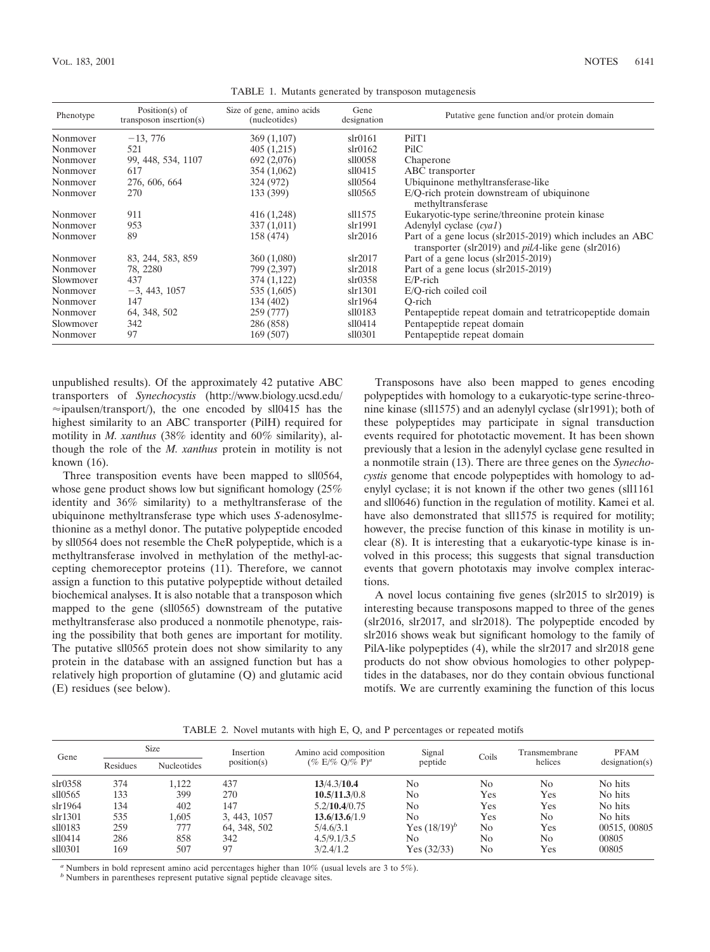| Phenotype | Position( $s$ ) of<br>transposon insertion(s) | Size of gene, amino acids<br>(nucleotides) | Gene<br>designation | Putative gene function and/or protein domain                                                                             |  |  |  |
|-----------|-----------------------------------------------|--------------------------------------------|---------------------|--------------------------------------------------------------------------------------------------------------------------|--|--|--|
| Nonmover  | $-13,776$                                     | 369 (1,107)                                | slr0161             | PilT1                                                                                                                    |  |  |  |
| Nonmover  | 521                                           | 405(1,215)                                 | $\sin 0162$         | PilC                                                                                                                     |  |  |  |
| Nonmover  | 99, 448, 534, 1107                            | 692 (2,076)                                | sll0058             | Chaperone                                                                                                                |  |  |  |
| Nonmover  | 617                                           | 354 (1,062)                                | s110415             | ABC transporter                                                                                                          |  |  |  |
| Nonmover  | 276, 606, 664                                 | 324 (972)                                  | sll0564             | Ubiquinone methyltransferase-like                                                                                        |  |  |  |
| Nonmover  | 270                                           | 133 (399)                                  | s110565             | E/Q-rich protein downstream of ubiquinone<br>methyltransferase                                                           |  |  |  |
| Nonmover  | 911                                           | 416 (1,248)                                | sll1575             | Eukaryotic-type serine/threonine protein kinase                                                                          |  |  |  |
| Nonmover  | 953                                           | 337(1,011)                                 | slr1991             | Adenylyl cyclase $(cya1)$                                                                                                |  |  |  |
| Nonmover  | 89                                            | 158 (474)                                  | $\sin 2016$         | Part of a gene locus (slr2015-2019) which includes an ABC<br>transporter (slr2019) and $p\ddot{i}A$ -like gene (slr2016) |  |  |  |
| Nonmover  | 83, 244, 583, 859                             | 360(1,080)                                 | slr2017             | Part of a gene locus (slr2015-2019)                                                                                      |  |  |  |
| Nonmover  | 78, 2280                                      | 799 (2,397)                                | slr2018             | Part of a gene locus (slr2015-2019)                                                                                      |  |  |  |
| Slowmover | 437                                           | 374 (1,122)                                | $\sin 0358$         | $E/P$ -rich                                                                                                              |  |  |  |
| Nonmover  | $-3, 443, 1057$                               | 535 (1,605)                                | slr1301             | E/O-rich coiled coil                                                                                                     |  |  |  |
| Nonmover  | 147                                           | 134 (402)                                  | slr1964             | O-rich                                                                                                                   |  |  |  |
| Nonmover  | 64, 348, 502                                  | 259 (777)                                  | sll0183             | Pentapeptide repeat domain and tetratricopeptide domain                                                                  |  |  |  |
| Slowmover | 342                                           | 286 (858)                                  | sll0414             | Pentapeptide repeat domain                                                                                               |  |  |  |
| Nonmover  | 97                                            | 169 (507)                                  | sll0301             | Pentapeptide repeat domain                                                                                               |  |  |  |

TABLE 1. Mutants generated by transposon mutagenesis

unpublished results). Of the approximately 42 putative ABC transporters of *Synechocystis* (http://www.biology.ucsd.edu/  $\approx$ ipaulsen/transport/), the one encoded by sll0415 has the highest similarity to an ABC transporter (PilH) required for motility in *M. xanthus* (38% identity and 60% similarity), although the role of the *M. xanthus* protein in motility is not known (16).

Three transposition events have been mapped to sll0564, whose gene product shows low but significant homology (25%) identity and 36% similarity) to a methyltransferase of the ubiquinone methyltransferase type which uses *S*-adenosylmethionine as a methyl donor. The putative polypeptide encoded by sll0564 does not resemble the CheR polypeptide, which is a methyltransferase involved in methylation of the methyl-accepting chemoreceptor proteins (11). Therefore, we cannot assign a function to this putative polypeptide without detailed biochemical analyses. It is also notable that a transposon which mapped to the gene (sll0565) downstream of the putative methyltransferase also produced a nonmotile phenotype, raising the possibility that both genes are important for motility. The putative sll0565 protein does not show similarity to any protein in the database with an assigned function but has a relatively high proportion of glutamine (Q) and glutamic acid (E) residues (see below).

Transposons have also been mapped to genes encoding polypeptides with homology to a eukaryotic-type serine-threonine kinase (sll1575) and an adenylyl cyclase (slr1991); both of these polypeptides may participate in signal transduction events required for phototactic movement. It has been shown previously that a lesion in the adenylyl cyclase gene resulted in a nonmotile strain (13). There are three genes on the *Synechocystis* genome that encode polypeptides with homology to adenylyl cyclase; it is not known if the other two genes (sll1161 and sll0646) function in the regulation of motility. Kamei et al. have also demonstrated that sll1575 is required for motility; however, the precise function of this kinase in motility is unclear (8). It is interesting that a eukaryotic-type kinase is involved in this process; this suggests that signal transduction events that govern phototaxis may involve complex interactions.

A novel locus containing five genes (slr2015 to slr2019) is interesting because transposons mapped to three of the genes (slr2016, slr2017, and slr2018). The polypeptide encoded by slr2016 shows weak but significant homology to the family of PilA-like polypeptides (4), while the slr2017 and slr2018 gene products do not show obvious homologies to other polypeptides in the databases, nor do they contain obvious functional motifs. We are currently examining the function of this locus

| TABLE 2. Novel mutants with high E, Q, and P percentages or repeated motifs |  |  |
|-----------------------------------------------------------------------------|--|--|
|                                                                             |  |  |

| Gene        | <b>Size</b> |                    | Insertion    | Amino acid composition | Signal          |                | Transmembrane | <b>PFAM</b>    |  |
|-------------|-------------|--------------------|--------------|------------------------|-----------------|----------------|---------------|----------------|--|
|             | Residues    | <b>Nucleotides</b> | position(s)  | $(\% E/\% Q/\% P)^{a}$ | peptide         | Coils          | helices       | designation(s) |  |
| $\sin 0358$ | 374         | 1.122              | 437          | 13/4.3/10.4            | No              | N <sub>0</sub> | No            | No hits        |  |
| s110565     | 133         | 399                | 270          | 10.5/11.3/0.8          | No              | Yes            | Yes           | No hits        |  |
| slr1964     | 134         | 402                | 147          | 5.2/10.4/0.75          | No              | Yes            | Yes           | No hits        |  |
| slr1301     | 535         | 1.605              | 3, 443, 1057 | 13.6/13.6/1.9          | N <sub>0</sub>  | Yes            | No            | No hits        |  |
| sll0183     | 259         | 777                | 64, 348, 502 | 5/4.6/3.1              | Yes $(18/19)^b$ | N <sub>0</sub> | Yes           | 00515, 00805   |  |
| sll0414     | 286         | 858                | 342          | 4.5/9.1/3.5            | No.             | No             | No            | 00805          |  |
| sll0301     | 169         | 507                | 97           | 3/2.4/1.2              | Yes $(32/33)$   | N <sub>0</sub> | Yes           | 00805          |  |

*<sup>a</sup>* Numbers in bold represent amino acid percentages higher than 10% (usual levels are 3 to 5%).

*b* Numbers in parentheses represent putative signal peptide cleavage sites.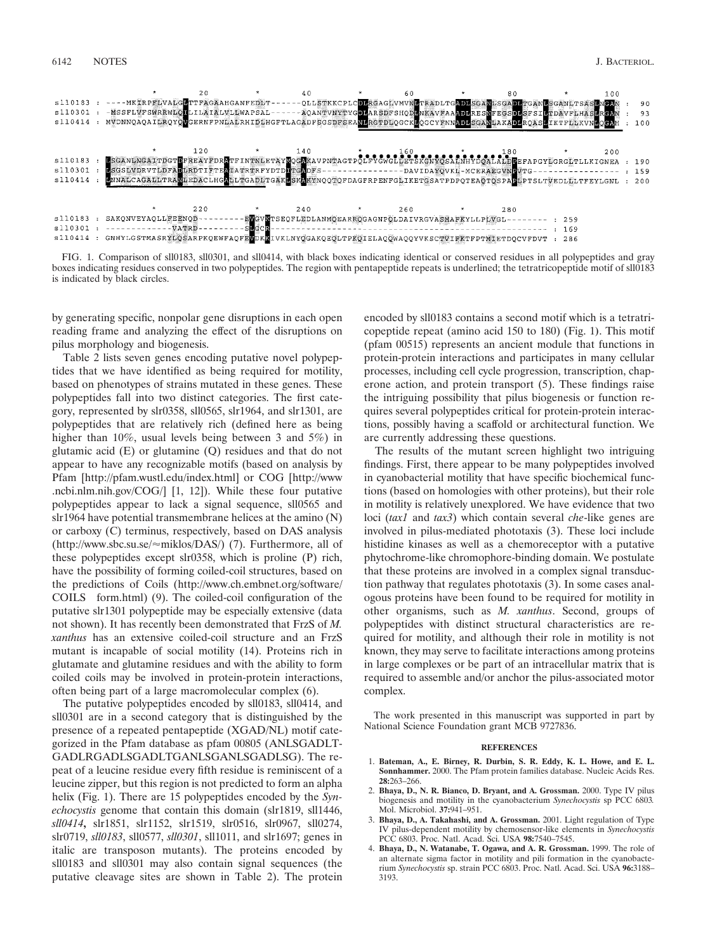|           |                                                                                                            | 20       |         | 40                                                               | 60  | 80  |       | 100 |     |  |
|-----------|------------------------------------------------------------------------------------------------------------|----------|---------|------------------------------------------------------------------|-----|-----|-------|-----|-----|--|
| sl10183   | ----MKERPFLVALGETTFAGAAHGANFEDLT--                                                                         |          |         | -QLLSTKKCPLCDLRGAGLVMVNLTRADLTGADLSGANLSGADLTGANLSGANLTSASLMGAN  |     |     |       |     | 90  |  |
| s110301   | -MSSFLVFSWRRWLONLILAIALVLEWAPSAL-                                                                          |          |         | - AQANTVNYTYGDLARSDFSHQDLNKAVFAAADLRESNFEGSDLSFSILTDAVFLHASLRGAN |     |     |       |     | 93  |  |
| s110414   | MVDNNQAQAILRQYQWGERNFPNLAERHIDLHGFTLAGADFSGSDFSEANLRGTDLQGCKLQGCYFNNADLSGANLAKADLRQASLIKTFLLKVNLQGAH       |          |         |                                                                  |     |     |       |     | 100 |  |
|           |                                                                                                            |          |         |                                                                  |     |     |       |     |     |  |
|           |                                                                                                            |          |         |                                                                  |     |     |       |     |     |  |
|           |                                                                                                            | 120      |         | 140                                                              |     | 180 |       | 200 |     |  |
| s110183   | BSGANLNGATTDGTDFREAYFDRETFINTNLETAYMOGEKAVPNTAGTPOLFYGWGLDETSKGNYGSALNHYDOALALDEEFAPGYLGRGLTLLKIGNEA : 190 |          |         |                                                                  |     |     |       |     |     |  |
| s110301   | MSGSLVDRVTLDFADLRDTIFTEM:ATRTRFYDTDDTCMDFS---------------DAVIDATOVKH-MCERAEGVNDVTG--                       |          |         |                                                                  |     |     |       |     | 159 |  |
| sl10414   | ENNALCAGALLTRANLEDACLHGALLTGADLTGAKESKAKYNQQTQFDAGFRPENFGLIKETGSATPDPQTEAOTOSPABLPTSLTVEDLLLTFEYLGNL : 200 |          |         |                                                                  |     |     |       |     |     |  |
|           |                                                                                                            |          |         |                                                                  |     |     |       |     |     |  |
|           |                                                                                                            |          |         |                                                                  |     |     |       |     |     |  |
|           |                                                                                                            | 220      |         | 240                                                              | 260 | 280 |       |     |     |  |
| sl10183   | SAKONVEYAOLLFEENOD--                                                                                       |          |         | -EVGVKTSEQFLEDLANMQEARROGAGNPOLDAIVRGVASMAFKYLLPLVGL--------     |     |     | : 259 |     |     |  |
| s110301 : |                                                                                                            | $-WATRD$ | silecia |                                                                  |     |     | : 169 |     |     |  |
| s110414   | GNHYLGSTMASRYLOSARPKQEWFAQFEWDKKIVKLNYQGAKQEQLTPKQIELAQOWAOOYVKSCTVIFKTFPTMIETDOCVFDVT :                   |          |         |                                                                  |     |     | 286   |     |     |  |
|           |                                                                                                            |          |         |                                                                  |     |     |       |     |     |  |

FIG. 1. Comparison of sll0183, sll0301, and sll0414, with black boxes indicating identical or conserved residues in all polypeptides and gray boxes indicating residues conserved in two polypeptides. The region with pentapeptide repeats is underlined; the tetratricopeptide motif of sll0183 is indicated by black circles.

by generating specific, nonpolar gene disruptions in each open reading frame and analyzing the effect of the disruptions on pilus morphology and biogenesis.

Table 2 lists seven genes encoding putative novel polypeptides that we have identified as being required for motility, based on phenotypes of strains mutated in these genes. These polypeptides fall into two distinct categories. The first category, represented by slr0358, sll0565, slr1964, and slr1301, are polypeptides that are relatively rich (defined here as being higher than 10%, usual levels being between 3 and 5%) in glutamic acid (E) or glutamine (Q) residues and that do not appear to have any recognizable motifs (based on analysis by Pfam [http://pfam.wustl.edu/index.html] or COG [http://www .ncbi.nlm.nih.gov/COG/] [1, 12]). While these four putative polypeptides appear to lack a signal sequence, sll0565 and slr1964 have potential transmembrane helices at the amino (N) or carboxy (C) terminus, respectively, based on DAS analysis (http://www.sbc.su.se/≈miklos/DAS/) (7). Furthermore, all of these polypeptides except slr0358, which is proline (P) rich, have the possibility of forming coiled-coil structures, based on the predictions of Coils (http://www.ch.embnet.org/software/ COILS form.html) (9). The coiled-coil configuration of the putative slr1301 polypeptide may be especially extensive (data not shown). It has recently been demonstrated that FrzS of *M. xanthus* has an extensive coiled-coil structure and an FrzS mutant is incapable of social motility (14). Proteins rich in glutamate and glutamine residues and with the ability to form coiled coils may be involved in protein-protein interactions, often being part of a large macromolecular complex (6).

The putative polypeptides encoded by sll0183, sll0414, and sll0301 are in a second category that is distinguished by the presence of a repeated pentapeptide (XGAD/NL) motif categorized in the Pfam database as pfam 00805 (ANLSGADLT-GADLRGADLSGADLTGANLSGANLSGADLSG). The repeat of a leucine residue every fifth residue is reminiscent of a leucine zipper, but this region is not predicted to form an alpha helix (Fig. 1). There are 15 polypeptides encoded by the *Synechocystis* genome that contain this domain (slr1819, sll1446, *sll0414***,** slr1851, slr1152, slr1519, slr0516, slr0967, sll0274, slr0719, *sll0183*, sll0577, *sll0301*, sll1011, and slr1697; genes in italic are transposon mutants). The proteins encoded by sll0183 and sll0301 may also contain signal sequences (the putative cleavage sites are shown in Table 2). The protein encoded by sll0183 contains a second motif which is a tetratricopeptide repeat (amino acid 150 to 180) (Fig. 1**)**. This motif (pfam 00515) represents an ancient module that functions in protein-protein interactions and participates in many cellular processes, including cell cycle progression, transcription, chaperone action, and protein transport (5). These findings raise the intriguing possibility that pilus biogenesis or function requires several polypeptides critical for protein-protein interactions, possibly having a scaffold or architectural function. We are currently addressing these questions.

The results of the mutant screen highlight two intriguing findings. First, there appear to be many polypeptides involved in cyanobacterial motility that have specific biochemical functions (based on homologies with other proteins), but their role in motility is relatively unexplored. We have evidence that two loci (*tax1* and *tax3*) which contain several *che*-like genes are involved in pilus-mediated phototaxis (3). These loci include histidine kinases as well as a chemoreceptor with a putative phytochrome-like chromophore-binding domain. We postulate that these proteins are involved in a complex signal transduction pathway that regulates phototaxis (3). In some cases analogous proteins have been found to be required for motility in other organisms, such as *M. xanthus*. Second, groups of polypeptides with distinct structural characteristics are required for motility, and although their role in motility is not known, they may serve to facilitate interactions among proteins in large complexes or be part of an intracellular matrix that is required to assemble and/or anchor the pilus-associated motor complex.

The work presented in this manuscript was supported in part by National Science Foundation grant MCB 9727836.

## **REFERENCES**

- 1. **Bateman, A., E. Birney, R. Durbin, S. R. Eddy, K. L. Howe, and E. L. Sonnhammer.** 2000. The Pfam protein families database. Nucleic Acids Res. **28:**263–266.
- 2. **Bhaya, D., N. R. Bianco, D. Bryant, and A. Grossman.** 2000. Type IV pilus biogenesis and motility in the cyanobacterium *Synechocystis* sp PCC 6803*.* Mol. Microbiol. **37:**941–951.
- 3. **Bhaya, D., A. Takahashi, and A. Grossman.** 2001. Light regulation of Type IV pilus-dependent motility by chemosensor-like elements in *Synechocystis* PCC 6803. Proc. Natl. Acad. Sci. USA **98:**7540–7545.
- 4. **Bhaya, D., N. Watanabe, T. Ogawa, and A. R. Grossman.** 1999. The role of an alternate sigma factor in motility and pili formation in the cyanobacterium *Synechocystis* sp. strain PCC 6803. Proc. Natl. Acad. Sci. USA **96:**3188– 3193.